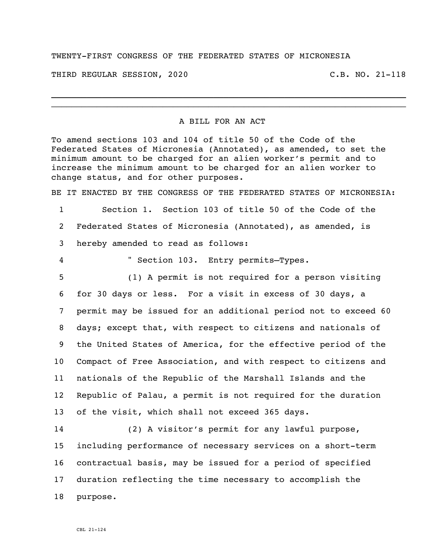## TWENTY-FIRST CONGRESS OF THE FEDERATED STATES OF MICRONESIA

THIRD REGULAR SESSION, 2020 C.B. NO. 21-118

## A BILL FOR AN ACT

\_\_\_\_\_\_\_\_\_\_\_\_\_\_\_\_\_\_\_\_\_\_\_\_\_\_\_\_\_\_\_\_\_\_\_\_\_\_\_\_\_\_\_\_\_\_\_\_\_\_\_\_\_\_\_\_\_\_\_\_\_\_\_\_\_\_\_\_\_\_ \_\_\_\_\_\_\_\_\_\_\_\_\_\_\_\_\_\_\_\_\_\_\_\_\_\_\_\_\_\_\_\_\_\_\_\_\_\_\_\_\_\_\_\_\_\_\_\_\_\_\_\_\_\_\_\_\_\_\_\_\_\_\_\_\_\_\_\_\_\_

To amend sections 103 and 104 of title 50 of the Code of the Federated States of Micronesia (Annotated), as amended, to set the minimum amount to be charged for an alien worker's permit and to increase the minimum amount to be charged for an alien worker to change status, and for other purposes.

BE IT ENACTED BY THE CONGRESS OF THE FEDERATED STATES OF MICRONESIA:

1 Section 1. Section 103 of title 50 of the Code of the 2 Federated States of Micronesia (Annotated), as amended, is 3 hereby amended to read as follows:

4 " Section 103. Entry permits—Types.

 (1) A permit is not required for a person visiting for 30 days or less. For a visit in excess of 30 days, a permit may be issued for an additional period not to exceed 60 days; except that, with respect to citizens and nationals of the United States of America, for the effective period of the Compact of Free Association, and with respect to citizens and nationals of the Republic of the Marshall Islands and the Republic of Palau, a permit is not required for the duration of the visit, which shall not exceed 365 days.

 (2) A visitor's permit for any lawful purpose, including performance of necessary services on a short-term contractual basis, may be issued for a period of specified duration reflecting the time necessary to accomplish the 18 purpose.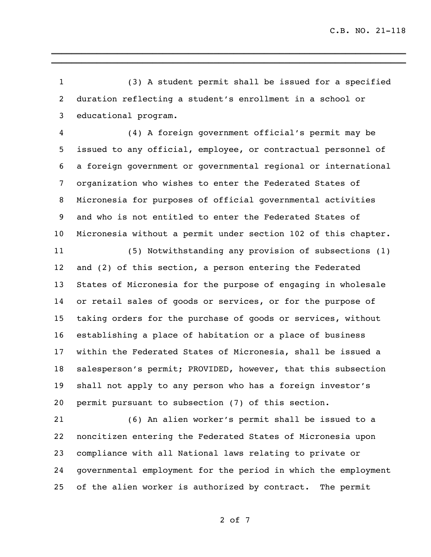(3) A student permit shall be issued for a specified duration reflecting a student's enrollment in a school or educational program.

\_\_\_\_\_\_\_\_\_\_\_\_\_\_\_\_\_\_\_\_\_\_\_\_\_\_\_\_\_\_\_\_\_\_\_\_\_\_\_\_\_\_\_\_\_\_\_\_\_\_\_\_\_\_\_\_\_\_\_\_\_\_\_\_\_\_\_\_\_\_ \_\_\_\_\_\_\_\_\_\_\_\_\_\_\_\_\_\_\_\_\_\_\_\_\_\_\_\_\_\_\_\_\_\_\_\_\_\_\_\_\_\_\_\_\_\_\_\_\_\_\_\_\_\_\_\_\_\_\_\_\_\_\_\_\_\_\_\_\_\_

 (4) A foreign government official's permit may be issued to any official, employee, or contractual personnel of a foreign government or governmental regional or international organization who wishes to enter the Federated States of Micronesia for purposes of official governmental activities and who is not entitled to enter the Federated States of Micronesia without a permit under section 102 of this chapter.

 (5) Notwithstanding any provision of subsections (1) and (2) of this section, a person entering the Federated States of Micronesia for the purpose of engaging in wholesale or retail sales of goods or services, or for the purpose of taking orders for the purchase of goods or services, without establishing a place of habitation or a place of business within the Federated States of Micronesia, shall be issued a salesperson's permit; PROVIDED, however, that this subsection shall not apply to any person who has a foreign investor's permit pursuant to subsection (7) of this section.

 (6) An alien worker's permit shall be issued to a noncitizen entering the Federated States of Micronesia upon compliance with all National laws relating to private or governmental employment for the period in which the employment of the alien worker is authorized by contract. The permit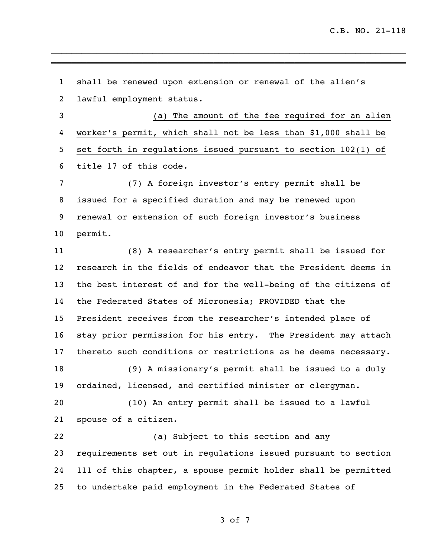shall be renewed upon extension or renewal of the alien's lawful employment status. (a) The amount of the fee required for an alien worker's permit, which shall not be less than \$1,000 shall be set forth in regulations issued pursuant to section 102(1) of title 17 of this code. (7) A foreign investor's entry permit shall be issued for a specified duration and may be renewed upon renewal or extension of such foreign investor's business permit. (8) A researcher's entry permit shall be issued for research in the fields of endeavor that the President deems in the best interest of and for the well-being of the citizens of the Federated States of Micronesia; PROVIDED that the President receives from the researcher's intended place of stay prior permission for his entry. The President may attach thereto such conditions or restrictions as he deems necessary. (9) A missionary's permit shall be issued to a duly ordained, licensed, and certified minister or clergyman. (10) An entry permit shall be issued to a lawful spouse of a citizen. (a) Subject to this section and any requirements set out in regulations issued pursuant to section 111 of this chapter, a spouse permit holder shall be permitted to undertake paid employment in the Federated States of

\_\_\_\_\_\_\_\_\_\_\_\_\_\_\_\_\_\_\_\_\_\_\_\_\_\_\_\_\_\_\_\_\_\_\_\_\_\_\_\_\_\_\_\_\_\_\_\_\_\_\_\_\_\_\_\_\_\_\_\_\_\_\_\_\_\_\_\_\_\_ \_\_\_\_\_\_\_\_\_\_\_\_\_\_\_\_\_\_\_\_\_\_\_\_\_\_\_\_\_\_\_\_\_\_\_\_\_\_\_\_\_\_\_\_\_\_\_\_\_\_\_\_\_\_\_\_\_\_\_\_\_\_\_\_\_\_\_\_\_\_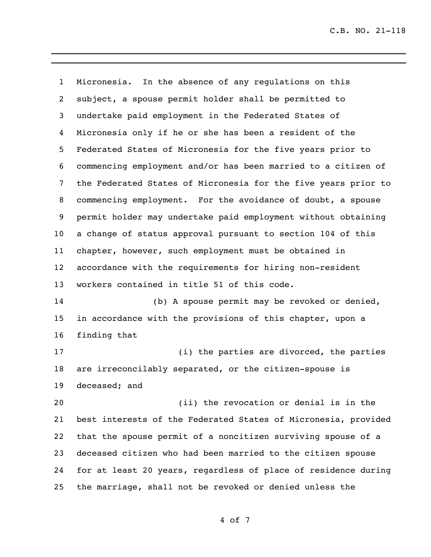C.B. NO. 21-118

 Micronesia. In the absence of any regulations on this subject, a spouse permit holder shall be permitted to undertake paid employment in the Federated States of Micronesia only if he or she has been a resident of the Federated States of Micronesia for the five years prior to commencing employment and/or has been married to a citizen of the Federated States of Micronesia for the five years prior to commencing employment. For the avoidance of doubt, a spouse permit holder may undertake paid employment without obtaining a change of status approval pursuant to section 104 of this chapter, however, such employment must be obtained in accordance with the requirements for hiring non-resident workers contained in title 51 of this code. (b) A spouse permit may be revoked or denied, in accordance with the provisions of this chapter, upon a finding that 17 (i) the parties are divorced, the parties are irreconcilably separated, or the citizen-spouse is deceased; and (ii) the revocation or denial is in the best interests of the Federated States of Micronesia, provided that the spouse permit of a noncitizen surviving spouse of a deceased citizen who had been married to the citizen spouse for at least 20 years, regardless of place of residence during the marriage, shall not be revoked or denied unless the

\_\_\_\_\_\_\_\_\_\_\_\_\_\_\_\_\_\_\_\_\_\_\_\_\_\_\_\_\_\_\_\_\_\_\_\_\_\_\_\_\_\_\_\_\_\_\_\_\_\_\_\_\_\_\_\_\_\_\_\_\_\_\_\_\_\_\_\_\_\_ \_\_\_\_\_\_\_\_\_\_\_\_\_\_\_\_\_\_\_\_\_\_\_\_\_\_\_\_\_\_\_\_\_\_\_\_\_\_\_\_\_\_\_\_\_\_\_\_\_\_\_\_\_\_\_\_\_\_\_\_\_\_\_\_\_\_\_\_\_\_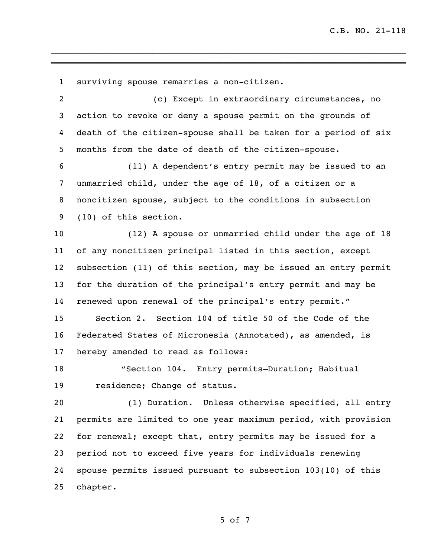surviving spouse remarries a non-citizen. (c) Except in extraordinary circumstances, no action to revoke or deny a spouse permit on the grounds of death of the citizen-spouse shall be taken for a period of six months from the date of death of the citizen-spouse. (11) A dependent's entry permit may be issued to an unmarried child, under the age of 18, of a citizen or a noncitizen spouse, subject to the conditions in subsection (10) of this section. (12) A spouse or unmarried child under the age of 18 of any noncitizen principal listed in this section, except subsection (11) of this section, may be issued an entry permit for the duration of the principal's entry permit and may be renewed upon renewal of the principal's entry permit." Section 2. Section 104 of title 50 of the Code of the Federated States of Micronesia (Annotated), as amended, is hereby amended to read as follows: "Section 104. Entry permits—Duration; Habitual residence; Change of status. 20 (1) Duration. Unless otherwise specified, all entry permits are limited to one year maximum period, with provision for renewal; except that, entry permits may be issued for a period not to exceed five years for individuals renewing spouse permits issued pursuant to subsection 103(10) of this chapter.

\_\_\_\_\_\_\_\_\_\_\_\_\_\_\_\_\_\_\_\_\_\_\_\_\_\_\_\_\_\_\_\_\_\_\_\_\_\_\_\_\_\_\_\_\_\_\_\_\_\_\_\_\_\_\_\_\_\_\_\_\_\_\_\_\_\_\_\_\_\_ \_\_\_\_\_\_\_\_\_\_\_\_\_\_\_\_\_\_\_\_\_\_\_\_\_\_\_\_\_\_\_\_\_\_\_\_\_\_\_\_\_\_\_\_\_\_\_\_\_\_\_\_\_\_\_\_\_\_\_\_\_\_\_\_\_\_\_\_\_\_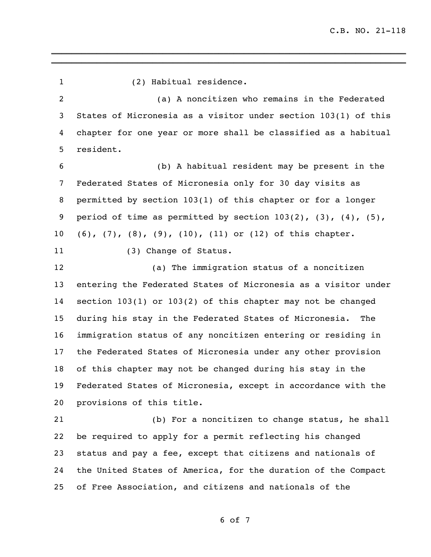| $\mathbf{1}$   | (2) Habitual residence.                                                    |
|----------------|----------------------------------------------------------------------------|
| $\overline{2}$ | (a) A noncitizen who remains in the Federated                              |
| 3              | States of Micronesia as a visitor under section 103(1) of this             |
| 4              | chapter for one year or more shall be classified as a habitual             |
| 5              | resident.                                                                  |
| 6              | (b) A habitual resident may be present in the                              |
| 7              | Federated States of Micronesia only for 30 day visits as                   |
| 8              | permitted by section 103(1) of this chapter or for a longer                |
| 9              | period of time as permitted by section $103(2)$ , $(3)$ , $(4)$ , $(5)$ ,  |
| $10\,$         | $(6)$ , $(7)$ , $(8)$ , $(9)$ , $(10)$ , $(11)$ or $(12)$ of this chapter. |
| 11             | (3) Change of Status.                                                      |
| 12             | (a) The immigration status of a noncitizen                                 |
| 13             | entering the Federated States of Micronesia as a visitor under             |
| 14             | section $103(1)$ or $103(2)$ of this chapter may not be changed            |
| 15             | during his stay in the Federated States of Micronesia.<br>The              |
| 16             | immigration status of any noncitizen entering or residing in               |
| 17             | the Federated States of Micronesia under any other provision               |
| 18             | of this chapter may not be changed during his stay in the                  |
| 19             | Federated States of Micronesia, except in accordance with the              |
| 20             | provisions of this title.                                                  |
| 21             | (b) For a noncitizen to change status, he shall                            |
| 22             | be required to apply for a permit reflecting his changed                   |
| 23             | status and pay a fee, except that citizens and nationals of                |
| 24             | the United States of America, for the duration of the Compact              |
| 25             | of Free Association, and citizens and nationals of the                     |
|                |                                                                            |

\_\_\_\_\_\_\_\_\_\_\_\_\_\_\_\_\_\_\_\_\_\_\_\_\_\_\_\_\_\_\_\_\_\_\_\_\_\_\_\_\_\_\_\_\_\_\_\_\_\_\_\_\_\_\_\_\_\_\_\_\_\_\_\_\_\_\_\_\_\_ \_\_\_\_\_\_\_\_\_\_\_\_\_\_\_\_\_\_\_\_\_\_\_\_\_\_\_\_\_\_\_\_\_\_\_\_\_\_\_\_\_\_\_\_\_\_\_\_\_\_\_\_\_\_\_\_\_\_\_\_\_\_\_\_\_\_\_\_\_\_